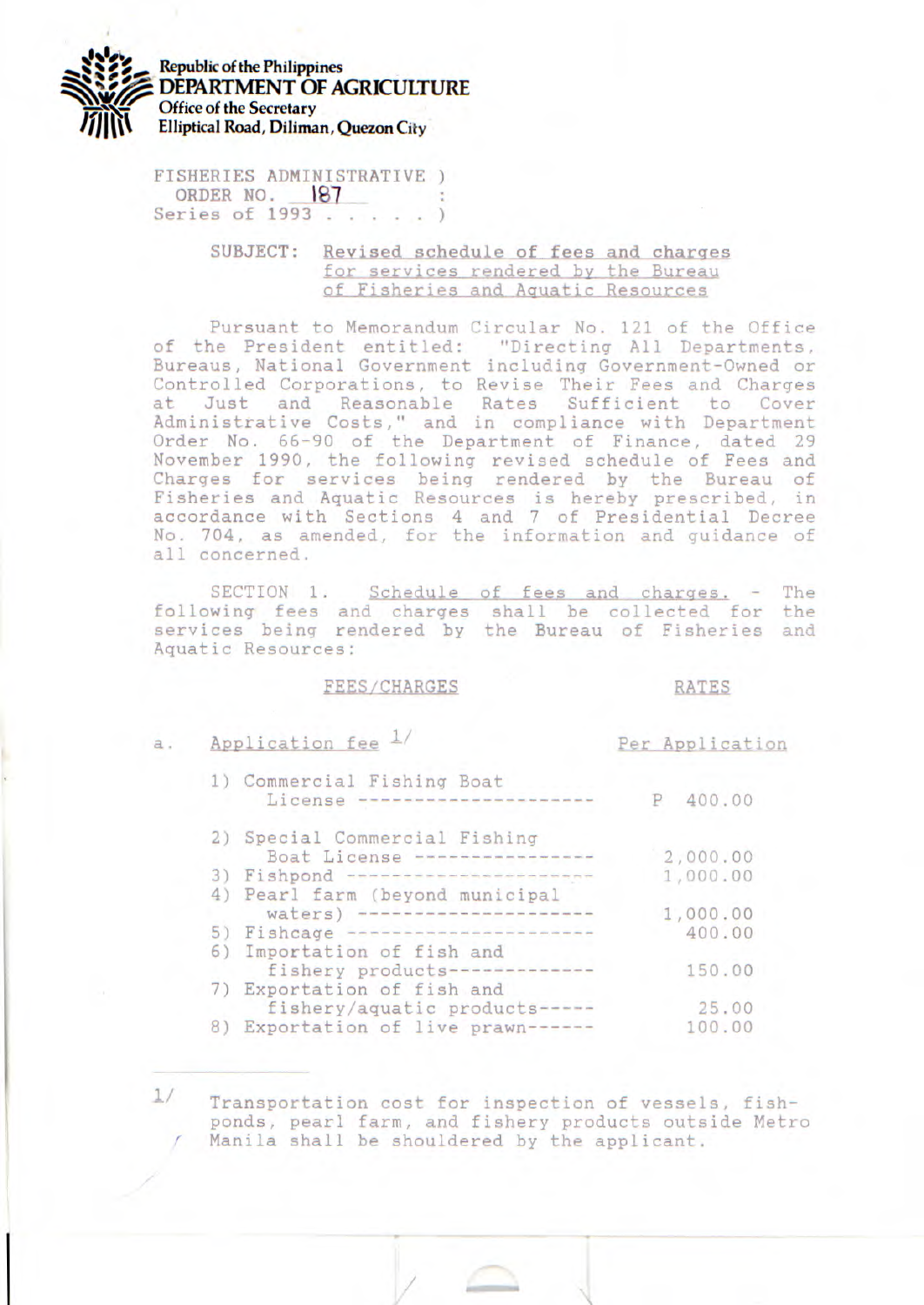

FISHERIES ADMINISTRATIVE ) **ORDER NO. 187** : **Series of 1993** .....)

## SUBJECT: Revised schedule of fees and charges for services rendered by the Bureau of Fisheries and Aquatic Resources

Pursuant to Memorandum Circular No. 121 of the Office of the President entitled: "Directing All Departments, Bureaus, National Government including Government-Owned or Controlled Corporations, to Revise Their Fees and Charges at Just and Reasonable Rates Sufficient to Cover Administrative Costs," and in compliance with Department Order No. 66-90 of the Department of Finance, dated 29 November 1990, the following revised schedule of Fees and Charges for services being rendered by the Bureau of Fisheries and Aquatic Resources is hereby prescribed, in accordance with Sections 4 and 7 of Presidential Decree No. 704, as amended, for the information and guidance of all concerned.

SECTION 1. Schedule of fees and charges, - The following fees and charges shall be collected for the services being rendered by the Bureau of Fisheries and Aquatic Resources:

## FEES/CHARGES RATES

a. Application fee  $\frac{1}{x}$  Per Application

 $1/$ 

|    | 1) Commercial Fishing Boat<br>License<br>and stated work bank hand stated color parts.            | 400.00<br>Р |  |
|----|---------------------------------------------------------------------------------------------------|-------------|--|
|    | 2) Special Commercial Fishing                                                                     |             |  |
|    | Boat License -------                                                                              | 2,000.00    |  |
|    | 3) Fishpond<br>we will look that was the their look that they have been able to be the three that | 1,000.00    |  |
|    | 4) Pearl farm (beyond municipal                                                                   |             |  |
|    | waters) ---------------------                                                                     | 1,000.00    |  |
|    | 5) Fishcage                                                                                       | 400.00      |  |
|    | 6) Importation of fish and                                                                        |             |  |
|    | fishery products----------                                                                        | 150.00      |  |
|    | 7) Exportation of fish and                                                                        |             |  |
|    | fishery/aquatic products -----                                                                    | 25.00       |  |
| 8) | Exportation of live prawn------                                                                   | 100.00      |  |
|    |                                                                                                   |             |  |

Transportation cost for inspection of vessels, fishponds, pearl farm, and fishery products outside Metro Manila shall be shouldered by the applicant.

/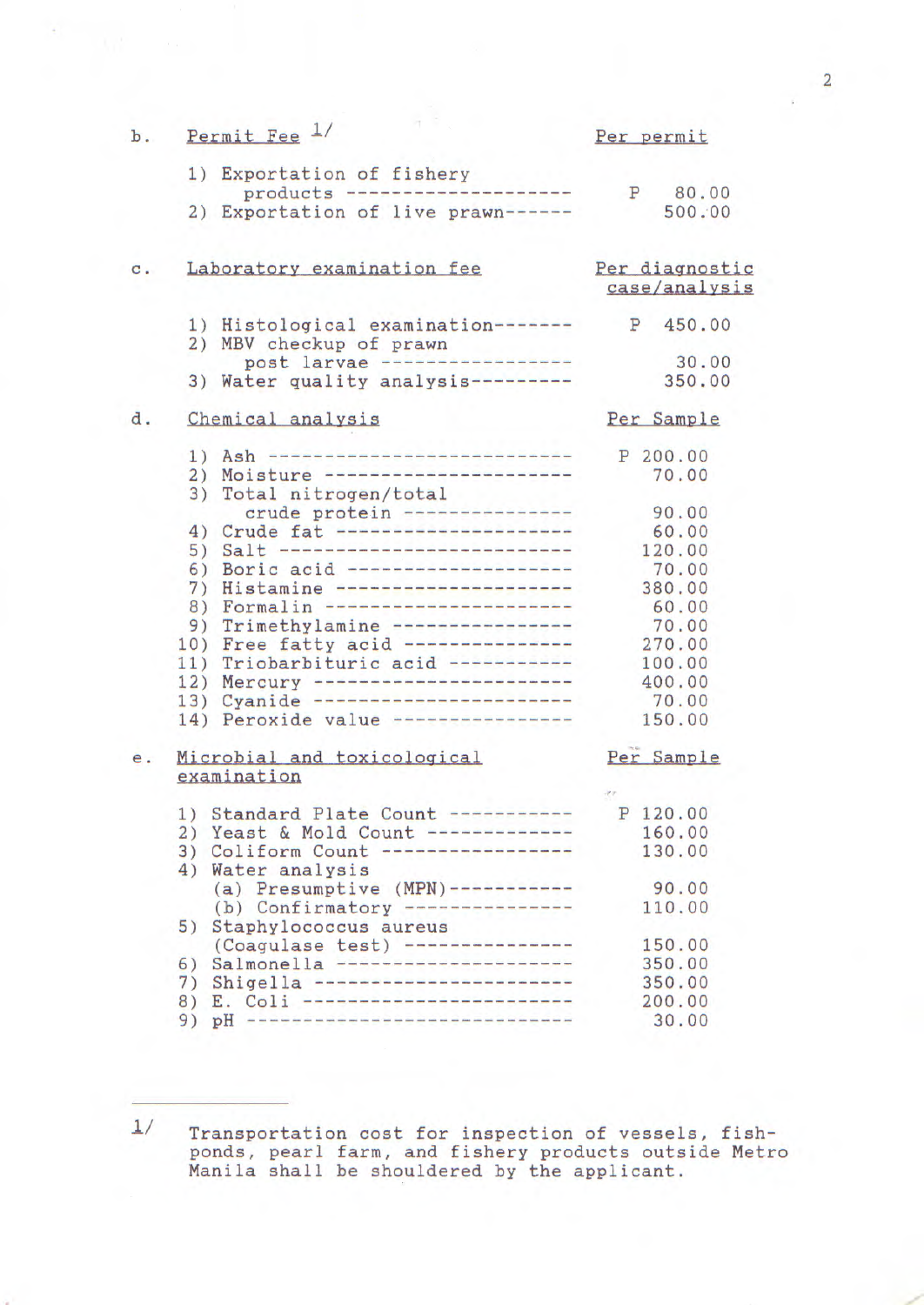| $b$ .          |     | Permit Fee 1/                                                              | Per permit        |
|----------------|-----|----------------------------------------------------------------------------|-------------------|
|                |     | 1) Exportation of fishery                                                  |                   |
|                |     | products ---------------------<br>2) Exportation of live prawn------       | P 80.00<br>500.00 |
|                |     |                                                                            |                   |
| $\mathbf{c}$ . |     | Laboratory examination fee                                                 | Per diagnostic    |
|                |     |                                                                            | case/analysis     |
|                |     | 1) Histological examination-------                                         | P 450.00          |
|                |     | 2) MBV checkup of prawn<br>post larvae ------------------                  |                   |
|                |     |                                                                            | 30.00             |
|                |     | 3) Water quality analysis---------                                         | 350.00            |
| d.             |     | Chemical analysis                                                          | Per Sample        |
|                |     | 1) Ash ----------------------------                                        | P 200.00          |
|                | 2)  | Moisture -----------------------                                           | 70.00             |
|                | 3)  | Total nitrogen/total                                                       |                   |
|                |     | crude protein ----------------                                             | 90.00             |
|                |     | 4) Crude fat ----------------------                                        | 60.00             |
|                |     | 5) Salt ---------------------------                                        | 120.00            |
|                |     | 6) Boric acid ---------------------                                        | 70.00             |
|                |     | 7) Histamine ----------------------                                        | 380.00            |
|                |     | 8) Formalin -----------------------                                        | 60.00             |
|                |     | 9) Trimethylamine ----------------                                         | 70.00             |
|                |     | 10) Free fatty acid ---------------<br>11) Triobarbituric acid ----------- | 270.00            |
|                |     | 12) Mercury ------------------------                                       | 100.00<br>400.00  |
|                |     | 13) Cyanide ------------------------                                       | 70.00             |
|                | 14) | Peroxide value ----------------                                            | 150.00            |
|                |     |                                                                            |                   |
| e.             |     | Microbial and toxicological                                                | Per Sample        |
|                |     | examination                                                                |                   |
|                |     | 1) Standard Plate Count -----------                                        | P 120.00          |
|                |     | 2) Yeast & Mold Count -------------                                        | 160.00            |
|                |     | ---------------<br>3) Coliform Count --                                    | 130.00            |
|                | 4)  | Water analysis                                                             |                   |
|                |     | (a) Presumptive $(MPN)$ -----------                                        | 90.00             |
|                |     | (b) Confirmatory ---------------                                           | 110.00            |
|                | 5)  | Staphylococcus aureus                                                      |                   |
|                |     | (Coagulase test) ----------------                                          | 150.00            |
|                | 6)  | Salmonella ---------------------                                           | 350.00            |
|                | 7)  | Shigella ------------------------                                          | 350.00            |
|                | 8)  | E. Coli -------------------------                                          | 200.00            |
|                | 9)  | -------------------------------<br>PH <sub>q</sub>                         | 30.00             |

2

 $\frac{1}{2}$  Transportation cost for inspection of vessels, fishponds, pearl farm, and fishery products outside Metro Manila shall be shouldered by the applicant.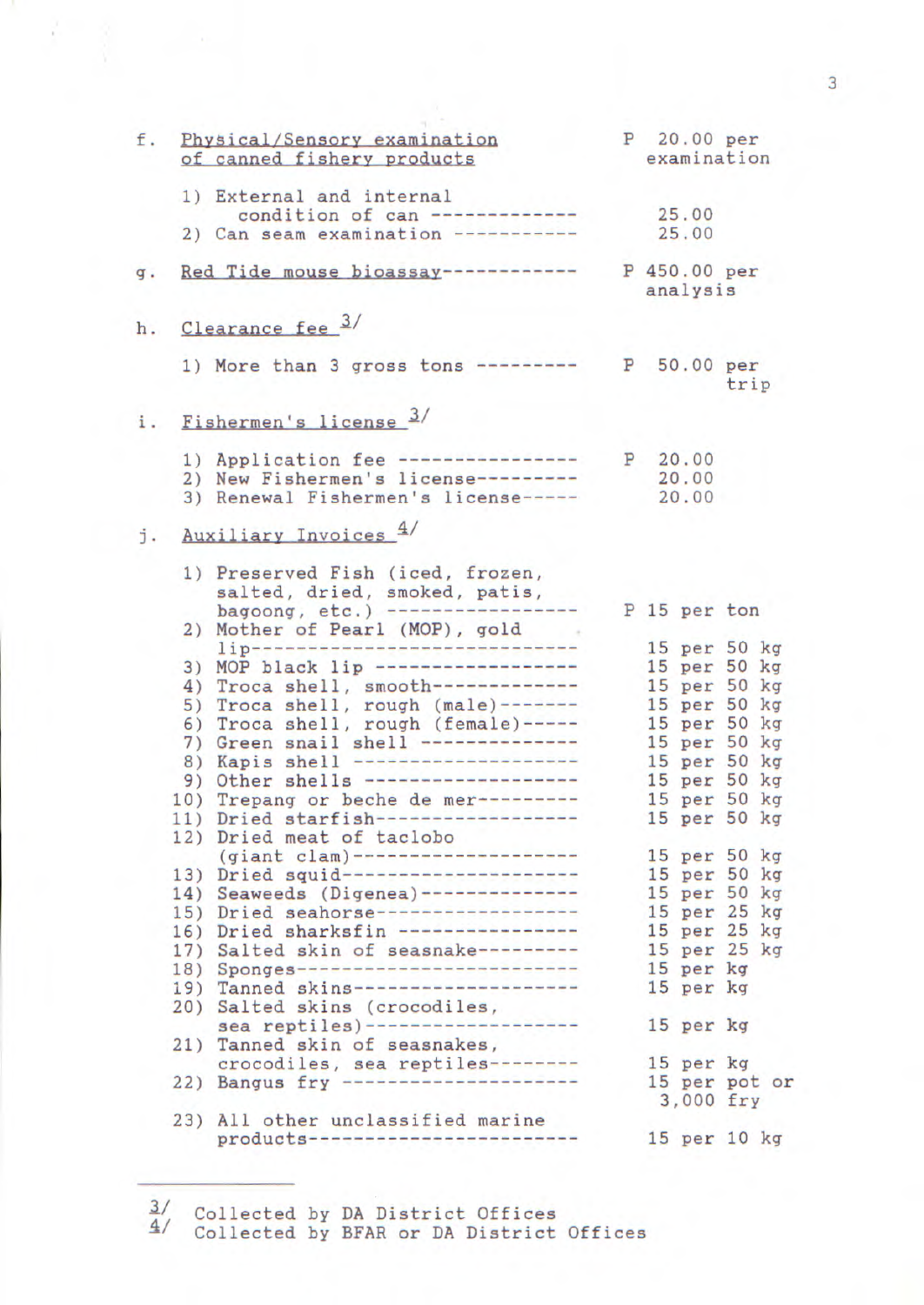| f.             | Physical/Sensory examination<br>of canned fishery products                                                                                                                                                                                                                                                                                                                                                                                                                 |                           |           | P 20.00 per<br>examination                                                                                                                   |
|----------------|----------------------------------------------------------------------------------------------------------------------------------------------------------------------------------------------------------------------------------------------------------------------------------------------------------------------------------------------------------------------------------------------------------------------------------------------------------------------------|---------------------------|-----------|----------------------------------------------------------------------------------------------------------------------------------------------|
|                | 1) External and internal<br>condition of can -------------<br>2) Can seam examination -----------                                                                                                                                                                                                                                                                                                                                                                          | 25.00                     | 25.00     |                                                                                                                                              |
| g <sub>1</sub> | Red Tide mouse bioassay ------------                                                                                                                                                                                                                                                                                                                                                                                                                                       | P 450.00 per<br>analysis  |           |                                                                                                                                              |
|                | h. Clearance fee 3/                                                                                                                                                                                                                                                                                                                                                                                                                                                        |                           |           |                                                                                                                                              |
|                | 1) More than 3 gross tons ---------                                                                                                                                                                                                                                                                                                                                                                                                                                        |                           |           | P 50.00 per<br>trip                                                                                                                          |
|                | i. Fishermen's license 3/                                                                                                                                                                                                                                                                                                                                                                                                                                                  |                           |           |                                                                                                                                              |
|                | 1) Application fee -----------------<br>2) New Fishermen's license---------<br>3) Renewal Fishermen's license-----                                                                                                                                                                                                                                                                                                                                                         | P 20.00<br>20.00<br>20.00 |           |                                                                                                                                              |
|                | j. Auxiliary Invoices 4/                                                                                                                                                                                                                                                                                                                                                                                                                                                   |                           |           |                                                                                                                                              |
|                | 1) Preserved Fish (iced, frozen,<br>salted, dried, smoked, patis,<br>bagoong, etc.) ------------------                                                                                                                                                                                                                                                                                                                                                                     | P 15 per ton              |           |                                                                                                                                              |
|                | 2) Mother of Pearl (MOP), gold<br>lip---------------------------------<br>3) MOP black lip -------------------<br>4) Troca shell, smooth-------------<br>5) Troca shell, rough (male)-------<br>6) Troca shell, rough (female)-----<br>7) Green snail shell --------------<br>8) Kapis shell ---------------------<br>9) Other shells --------------------<br>10) Trepang or beche de mer---------                                                                         |                           |           | 15 per 50 kg<br>15 per 50 kg<br>15 per 50 kg<br>15 per 50 kg<br>15 per 50 kg<br>15 per 50 kg<br>15 per 50 kg<br>15 per 50 kg<br>15 per 50 kg |
|                | 11) Dried starfish-------------------<br>12) Dried meat of taclobo                                                                                                                                                                                                                                                                                                                                                                                                         |                           |           | 15 per 50 kg                                                                                                                                 |
|                | (giant clam)---------------------<br>13) Dried squid----------------------<br>14) Seaweeds (Digenea)--------------<br>15) Dried seahorse-------------------<br>16) Dried sharksfin -----------------<br>17) Salted skin of seasnake---------<br>18) Sponges---------------------------<br>19) Tanned skins---------------------<br>20) Salted skins (crocodiles,<br>sea reptiles)--------------------<br>21) Tanned skin of seasnakes,<br>crocodiles, sea reptiles-------- | 15 per kg<br>15 per kg    | 15 per kg | 15 per 50 kg<br>15 per 50 kg<br>15 per 50 kg<br>15 per 25 kg<br>15 per 25 kg<br>15 per 25 kg<br>15 per kg                                    |
|                | 22) Bangus fry ----------------------                                                                                                                                                                                                                                                                                                                                                                                                                                      |                           |           | 15 per pot or<br>3,000 fry                                                                                                                   |
|                | 23) All other unclassified marine<br>products--------------------------                                                                                                                                                                                                                                                                                                                                                                                                    |                           |           | 15 per 10 kg                                                                                                                                 |

 $\frac{3}{4}$  Collected by DA District Offices

<sup>-41</sup> Collected by BFAR or DA District Offices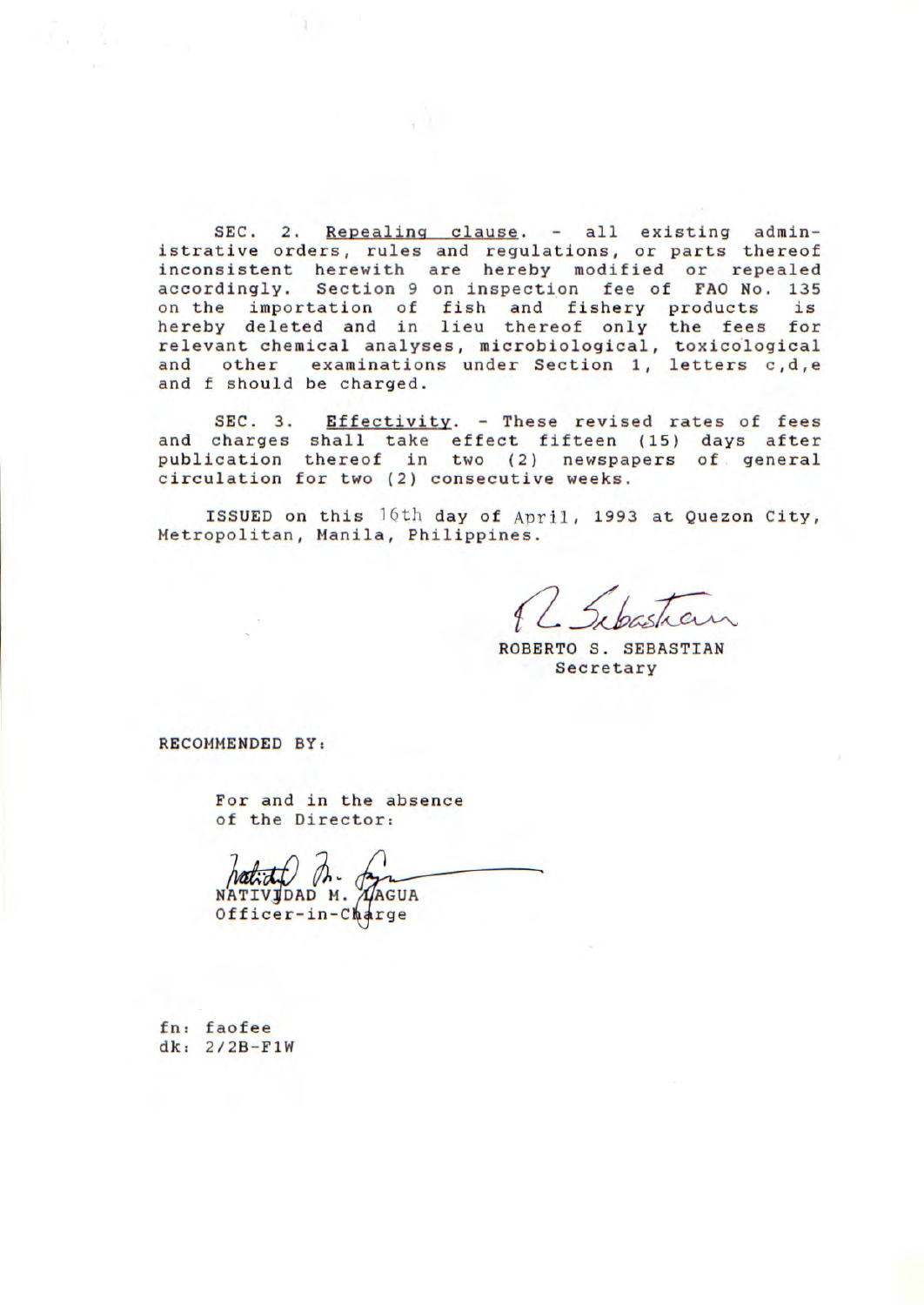SEC. 2. Repealing clause. - all existing administrative orders, rules and regulations, or parts thereof inconsistent herewith are hereby modified or repealed accordingly. Section 9 on inspection fee of FAO No. 135 on the importation of fish and fishery products is hereby deleted and in lieu thereof only the fees for relevant chemical analyses, microbiological, toxicological and other examinations under Section 1, letters c,d,e and f should be charged.

SEC. 3. Effectivity. - These revised rates of fees and charges shall take effect fifteen (15) days after publication thereof in two (2) newspapers of general circulation for two (2) consecutive weeks.

ISSUED on this 16th day of April, 1993 at Quezon City, Metropolitan, Manila, Philippines.

L Sibastian

ROBERTO S. SEBASTIAN Secretary

RECOMMENDED BY:

For and in the absence of the Director:

NATIVJDAD M. AAGUA  $Officer-in-Ch4rge$ 

fn: faofee dk: 2/2B-F1W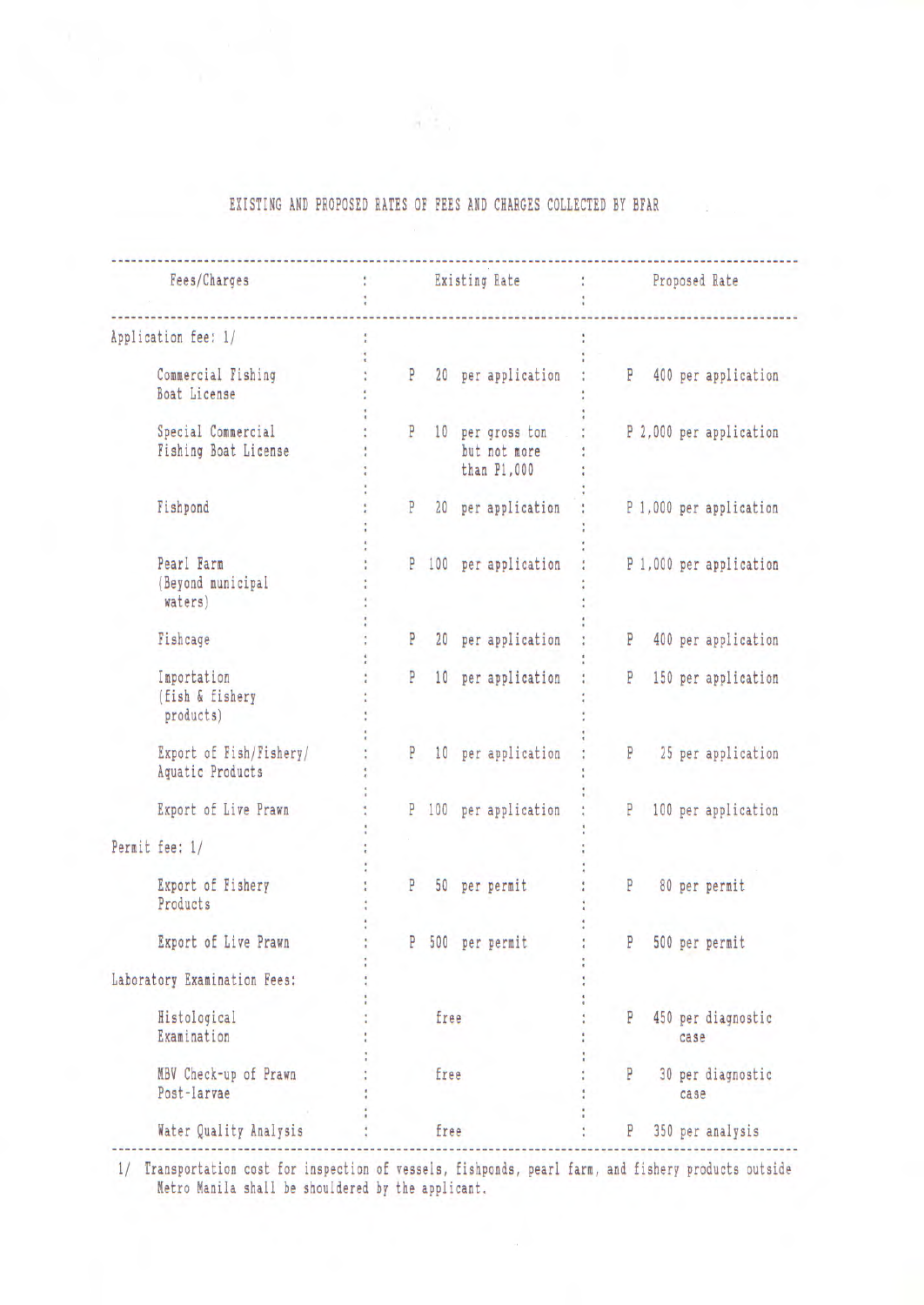| Fees/Charges                                |   |      | Existing Rate                                     | : Proposed Rate |   |      |                         |
|---------------------------------------------|---|------|---------------------------------------------------|-----------------|---|------|-------------------------|
| Application fee: 1/                         |   |      |                                                   |                 |   |      |                         |
| Commercial Fishing<br>Boat License          |   |      | P 20 per application                              |                 |   |      | P 400 per application   |
| Special Commercial<br>Fishing Boat License  |   |      | P 10 per gross ton<br>but not more<br>than P1,000 |                 |   |      | P 2,000 per application |
| Fishpond                                    | P |      | 20 per application                                |                 |   |      | P 1,000 per application |
| Pearl Farm<br>(Beyond municipal<br>waters)  | P |      | 100 per application                               |                 |   |      | P 1,000 per application |
| Fishcage                                    | P |      | 20 per application                                | P               |   |      | 400 per application     |
| Importation<br>(fish & fishery<br>products) | P |      | 10 per application                                |                 | P |      | 150 per application     |
| Export of Fish/Fishery/<br>Aquatic Products |   |      | P 10 per application                              |                 | P |      | 25 per application      |
| Export of Live Prawn                        |   |      | P 100 per application                             |                 | P |      | 100 per application     |
| Permit fee: 1/                              |   |      |                                                   |                 |   |      |                         |
| Export of Fishery<br>Products               | P |      | 50 per permit                                     | P               |   |      | 80 per permit           |
| Export of Live Prawn                        |   |      | P 500 per permit                                  | P               |   |      | 500 per permit          |
| Laboratory Examination Fees:                |   |      |                                                   |                 |   |      |                         |
| Histological<br>Examination                 |   | free |                                                   | P               |   | case | 450 per diagnostic      |
| MBV Check-up of Prawn<br>Post-larvae        |   | free |                                                   | P               |   | case | 30 per diagnostic       |
| Water Quality Analysis                      |   | free |                                                   | P               |   |      | 350 per analysis        |

## EXISTING AND PROPOSED RATES OF FEES AND CHARGES COLLECTED BY BFAR

1/ Transportation cost for inspection of vessels, fishponds, pearl farm, and fishery products outside Metro Manila shall be shouldered by the applicant.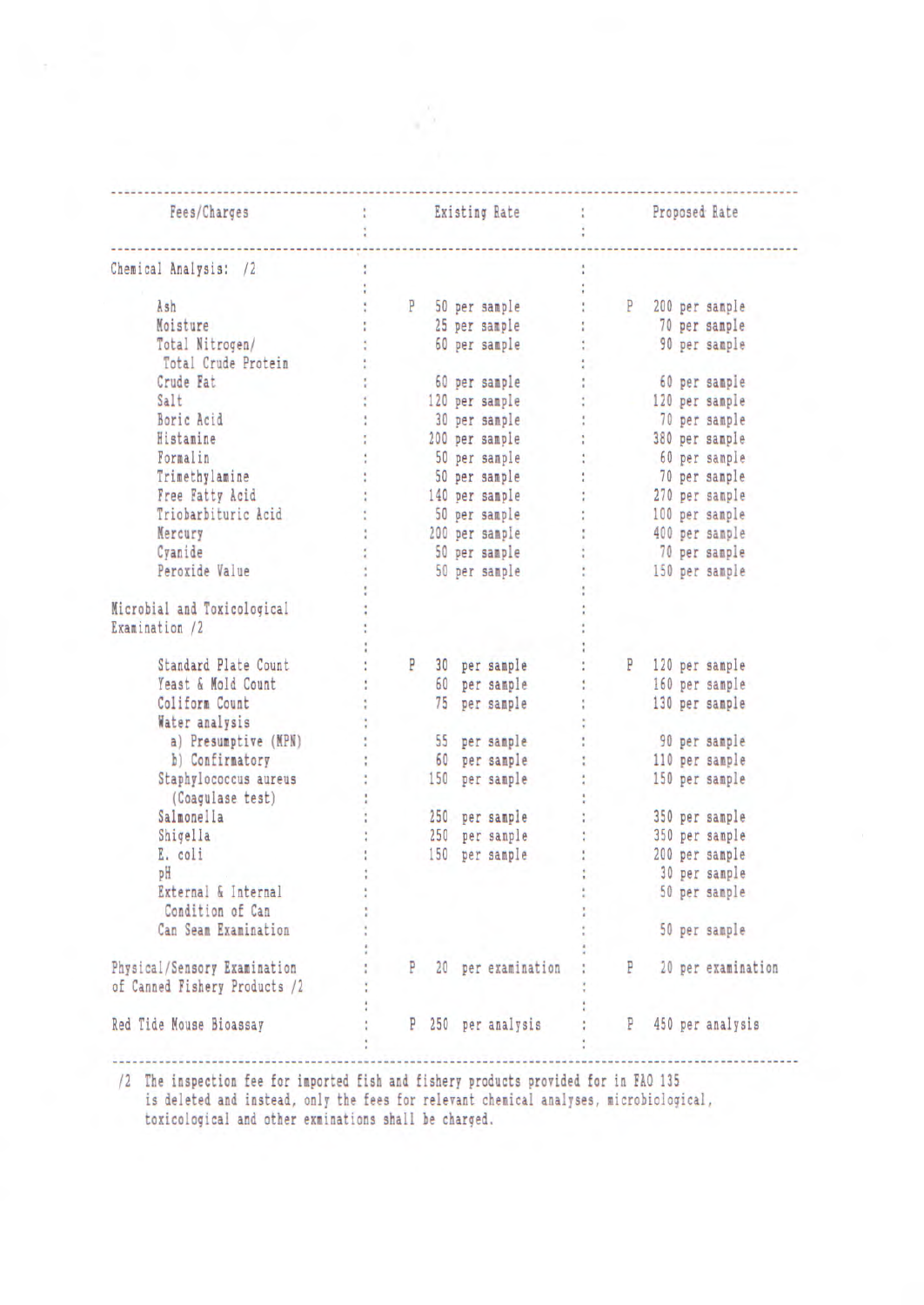| Fees/Charges                  |     | Existing Rate        |   | Proposed Rate  |                    |
|-------------------------------|-----|----------------------|---|----------------|--------------------|
| Chemical Analysis: /2         |     |                      |   |                |                    |
|                               |     |                      |   |                |                    |
| Ash                           |     | P 50 per sample      | P | 200 per sample |                    |
| Moisture                      |     | 25 per sample        |   | 70 per sample  |                    |
| Total Nitrogen/               |     | 60 per sample        |   |                | 90 per sample      |
| Total Crude Protein           |     |                      |   |                |                    |
| Crude Fat                     |     | 60 per sample        |   |                | 60 per sample      |
| Salt                          |     | 120 per sample       |   | 120 per sample |                    |
| Boric Acid                    |     | 30 per sample        |   | 70 per sample  |                    |
| Histamine                     |     | 200 per sample       |   | 380 per sample |                    |
| Formalin                      |     | 50 per sample        |   |                | 60 per sample      |
| Trimethylamine                |     | 50 per sample        |   | 70 per sample  |                    |
| Free Fatty Acid               |     | 140 per sample       |   | 270 per sample |                    |
| Triobarbituric Acid           |     | 50 per sample        |   | 100 per sample |                    |
|                               |     |                      |   |                |                    |
| Mercury                       |     | 200 per sample       |   | 400 per sample |                    |
| Cyanide                       |     | 50 per sample        |   | 70 per sample  |                    |
| Peroxide Value                |     | 50 per sample        |   | 150 per sample |                    |
|                               |     |                      |   |                |                    |
| Microbial and Toxicological   |     |                      |   |                |                    |
| Examination /2                |     |                      |   |                |                    |
|                               |     |                      |   |                |                    |
| Standard Plate Count          | P   | 30 per sample        | P | 120 per sample |                    |
| Yeast & Mold Count            | 60  | per sample           |   | 160 per sample |                    |
| Coliform Count                |     | 75 per sample        |   | 130 per sample |                    |
| Water analysis                |     |                      |   |                |                    |
| a) Presumptive (MPN)          |     | 55 per sample        |   | 90 per sample  |                    |
| b) Confirmatory               |     | 60 per sample        |   | 110 per sample |                    |
| Staphylococcus aureus         |     | 150 per sample       |   | 150 per sample |                    |
| (Coagulase test)              |     |                      |   |                |                    |
| Salmonella                    |     | 250 per sample       |   | 350 per sample |                    |
| Shigella                      |     | 250 per sample       |   | 350 per sample |                    |
| E. coli                       | 150 | per sample           |   | 200 per sample |                    |
| рH                            |     |                      |   | 30 per sample  |                    |
| External & Internal           |     |                      |   |                | 50 per sample      |
|                               |     |                      |   |                |                    |
| Condition of Can              |     |                      |   |                |                    |
| Can Seam Examination          |     |                      |   |                | 50 per sample      |
|                               |     |                      |   |                |                    |
| Physical/Sensory Examination  |     | P 20 per examination | P |                | 20 per examination |
| of Canned Fishery Products /2 |     |                      |   |                |                    |
|                               |     |                      |   |                |                    |
| Red Tide Mouse Bioassay       |     | P 250 per analysis   | P |                | 450 per analysis   |

/2 The inspection fee for imported fish and fishery products provided for in FAO 135

is deleted and instead, only the fees for relevant chemical analyses, microbiological, toxicological and other exminations shall be charged.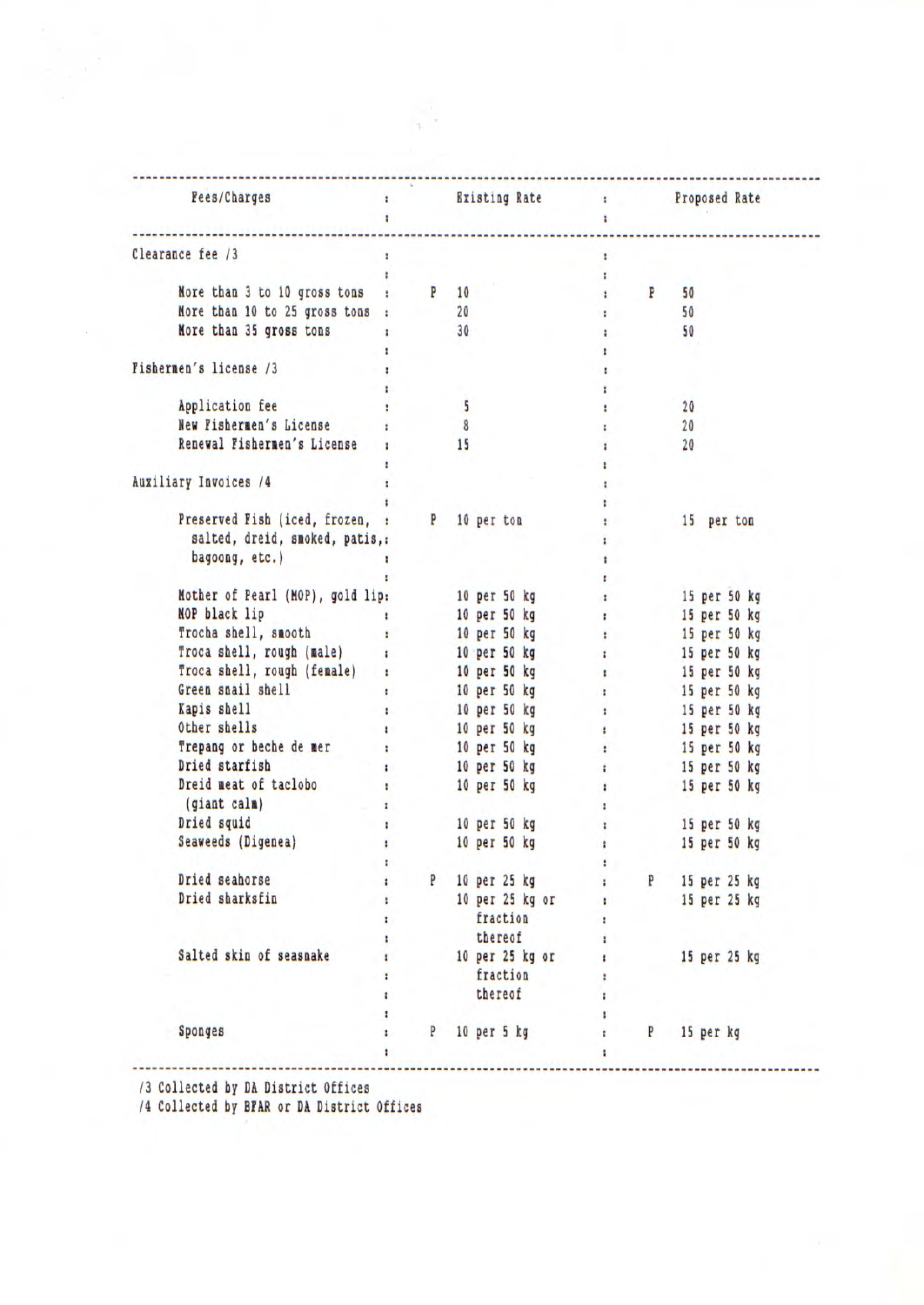| Troca shell, rough (male) : | More than 3 to 10 gross tons : P 10<br>More than 10 to 25 gross tons : 20<br>Nore than 35 gross tons : 30<br>$\overline{\phantom{a}}$<br>8<br>15 | Fees/Charges : and Existing Rate : Proposed Rate<br>Preserved Fish (iced, frozen, : P 10 per ton<br>Nother of Pearl (MOP), gold lip: 10 per 50 kg :<br>NOP black lip the set of the set of the set of the set of the set of the set of the set of the set of the set o<br>10 per 50 kg and the state of the state of the state of the state of the state of the state of the state of the state of the state of the state of the state of the state of the state of the state of the state of the state<br>10 per 50 kg to the state of the state of the state of the state of the state of the state of the state of the<br>Troca shell, rough (female) : 10 per 50 kg = 15 per 50 kg | <b>Electricity</b><br>÷<br>$\mathbf{H}$<br>$\mathbf{P}$<br><b>In the case</b><br><b>STATE</b><br>Ŧ.<br>$\sim 10$<br>Ŧ<br>Ŧ.<br><b>CONTRACTOR</b><br>÷.<br>£.<br>t.<br>ŧ.<br>t.<br><b>Ellistant</b><br>$1 -$<br>$\mathbf{r}$ |                        | 50<br>50<br>50<br>20<br>20<br>20                 | 15 per ton<br>15 per 50 kg<br>15 per 50 kg |                                                              |
|-----------------------------|--------------------------------------------------------------------------------------------------------------------------------------------------|----------------------------------------------------------------------------------------------------------------------------------------------------------------------------------------------------------------------------------------------------------------------------------------------------------------------------------------------------------------------------------------------------------------------------------------------------------------------------------------------------------------------------------------------------------------------------------------------------------------------------------------------------------------------------------------|-----------------------------------------------------------------------------------------------------------------------------------------------------------------------------------------------------------------------------|------------------------|--------------------------------------------------|--------------------------------------------|--------------------------------------------------------------|
|                             |                                                                                                                                                  |                                                                                                                                                                                                                                                                                                                                                                                                                                                                                                                                                                                                                                                                                        |                                                                                                                                                                                                                             |                        |                                                  |                                            |                                                              |
|                             |                                                                                                                                                  |                                                                                                                                                                                                                                                                                                                                                                                                                                                                                                                                                                                                                                                                                        |                                                                                                                                                                                                                             |                        |                                                  |                                            |                                                              |
|                             |                                                                                                                                                  |                                                                                                                                                                                                                                                                                                                                                                                                                                                                                                                                                                                                                                                                                        |                                                                                                                                                                                                                             |                        |                                                  |                                            |                                                              |
|                             |                                                                                                                                                  |                                                                                                                                                                                                                                                                                                                                                                                                                                                                                                                                                                                                                                                                                        |                                                                                                                                                                                                                             |                        |                                                  |                                            |                                                              |
|                             |                                                                                                                                                  |                                                                                                                                                                                                                                                                                                                                                                                                                                                                                                                                                                                                                                                                                        |                                                                                                                                                                                                                             |                        |                                                  |                                            |                                                              |
|                             |                                                                                                                                                  |                                                                                                                                                                                                                                                                                                                                                                                                                                                                                                                                                                                                                                                                                        |                                                                                                                                                                                                                             |                        |                                                  |                                            |                                                              |
|                             |                                                                                                                                                  |                                                                                                                                                                                                                                                                                                                                                                                                                                                                                                                                                                                                                                                                                        |                                                                                                                                                                                                                             |                        |                                                  |                                            |                                                              |
|                             |                                                                                                                                                  |                                                                                                                                                                                                                                                                                                                                                                                                                                                                                                                                                                                                                                                                                        |                                                                                                                                                                                                                             |                        |                                                  |                                            |                                                              |
|                             |                                                                                                                                                  |                                                                                                                                                                                                                                                                                                                                                                                                                                                                                                                                                                                                                                                                                        |                                                                                                                                                                                                                             |                        |                                                  |                                            |                                                              |
|                             |                                                                                                                                                  |                                                                                                                                                                                                                                                                                                                                                                                                                                                                                                                                                                                                                                                                                        |                                                                                                                                                                                                                             |                        |                                                  |                                            |                                                              |
|                             |                                                                                                                                                  |                                                                                                                                                                                                                                                                                                                                                                                                                                                                                                                                                                                                                                                                                        |                                                                                                                                                                                                                             |                        |                                                  |                                            |                                                              |
|                             |                                                                                                                                                  |                                                                                                                                                                                                                                                                                                                                                                                                                                                                                                                                                                                                                                                                                        |                                                                                                                                                                                                                             |                        |                                                  |                                            |                                                              |
|                             |                                                                                                                                                  |                                                                                                                                                                                                                                                                                                                                                                                                                                                                                                                                                                                                                                                                                        |                                                                                                                                                                                                                             |                        |                                                  |                                            |                                                              |
|                             |                                                                                                                                                  |                                                                                                                                                                                                                                                                                                                                                                                                                                                                                                                                                                                                                                                                                        |                                                                                                                                                                                                                             |                        |                                                  |                                            |                                                              |
|                             |                                                                                                                                                  |                                                                                                                                                                                                                                                                                                                                                                                                                                                                                                                                                                                                                                                                                        |                                                                                                                                                                                                                             |                        |                                                  |                                            |                                                              |
|                             |                                                                                                                                                  |                                                                                                                                                                                                                                                                                                                                                                                                                                                                                                                                                                                                                                                                                        |                                                                                                                                                                                                                             |                        |                                                  |                                            |                                                              |
|                             |                                                                                                                                                  |                                                                                                                                                                                                                                                                                                                                                                                                                                                                                                                                                                                                                                                                                        |                                                                                                                                                                                                                             |                        |                                                  |                                            |                                                              |
|                             |                                                                                                                                                  |                                                                                                                                                                                                                                                                                                                                                                                                                                                                                                                                                                                                                                                                                        |                                                                                                                                                                                                                             |                        |                                                  |                                            |                                                              |
|                             |                                                                                                                                                  |                                                                                                                                                                                                                                                                                                                                                                                                                                                                                                                                                                                                                                                                                        |                                                                                                                                                                                                                             |                        |                                                  |                                            |                                                              |
|                             |                                                                                                                                                  |                                                                                                                                                                                                                                                                                                                                                                                                                                                                                                                                                                                                                                                                                        |                                                                                                                                                                                                                             |                        |                                                  |                                            |                                                              |
|                             |                                                                                                                                                  |                                                                                                                                                                                                                                                                                                                                                                                                                                                                                                                                                                                                                                                                                        |                                                                                                                                                                                                                             |                        |                                                  |                                            |                                                              |
|                             |                                                                                                                                                  |                                                                                                                                                                                                                                                                                                                                                                                                                                                                                                                                                                                                                                                                                        |                                                                                                                                                                                                                             |                        |                                                  |                                            |                                                              |
|                             |                                                                                                                                                  |                                                                                                                                                                                                                                                                                                                                                                                                                                                                                                                                                                                                                                                                                        |                                                                                                                                                                                                                             |                        |                                                  | 15 per 50 kg                               |                                                              |
|                             |                                                                                                                                                  |                                                                                                                                                                                                                                                                                                                                                                                                                                                                                                                                                                                                                                                                                        |                                                                                                                                                                                                                             |                        |                                                  |                                            |                                                              |
|                             |                                                                                                                                                  | Green snail shell shell show that the contract of the contract of the contract of the contract of the contract of the contract of the contract of the contract of the contract of the contract of the contract of the contract                                                                                                                                                                                                                                                                                                                                                                                                                                                         |                                                                                                                                                                                                                             |                        |                                                  |                                            |                                                              |
|                             |                                                                                                                                                  | 10 per 50 kg to 15 per 50 kg                                                                                                                                                                                                                                                                                                                                                                                                                                                                                                                                                                                                                                                           |                                                                                                                                                                                                                             |                        |                                                  |                                            |                                                              |
|                             |                                                                                                                                                  | s 10 per 50 kg s 15 per 50 kg                                                                                                                                                                                                                                                                                                                                                                                                                                                                                                                                                                                                                                                          |                                                                                                                                                                                                                             |                        |                                                  |                                            |                                                              |
|                             |                                                                                                                                                  | Trepang or beche de mer (a) and the set of the set of the set of the set of the set of the set of the set of the set of the set of the set of the set of the set of the set of the set of the set of the set of the set of the                                                                                                                                                                                                                                                                                                                                                                                                                                                         |                                                                                                                                                                                                                             |                        |                                                  | 15 per 50 kg                               |                                                              |
|                             |                                                                                                                                                  | 10 per 50 kg i 15 per 50 kg                                                                                                                                                                                                                                                                                                                                                                                                                                                                                                                                                                                                                                                            |                                                                                                                                                                                                                             |                        |                                                  |                                            |                                                              |
|                             |                                                                                                                                                  | 10 per 50 kg :                                                                                                                                                                                                                                                                                                                                                                                                                                                                                                                                                                                                                                                                         |                                                                                                                                                                                                                             |                        |                                                  | 15 per 50 kg                               |                                                              |
|                             |                                                                                                                                                  |                                                                                                                                                                                                                                                                                                                                                                                                                                                                                                                                                                                                                                                                                        |                                                                                                                                                                                                                             |                        |                                                  |                                            |                                                              |
|                             |                                                                                                                                                  | 10 per 50 kg                                                                                                                                                                                                                                                                                                                                                                                                                                                                                                                                                                                                                                                                           | <b>COLLEGE</b><br>$\sim 10^{-1}$                                                                                                                                                                                            |                        |                                                  |                                            |                                                              |
|                             |                                                                                                                                                  |                                                                                                                                                                                                                                                                                                                                                                                                                                                                                                                                                                                                                                                                                        |                                                                                                                                                                                                                             |                        |                                                  | 15 per 50 kg                               |                                                              |
|                             |                                                                                                                                                  | 10 per 50 kg                                                                                                                                                                                                                                                                                                                                                                                                                                                                                                                                                                                                                                                                           | $\mathbf{H}$                                                                                                                                                                                                                |                        |                                                  |                                            |                                                              |
|                             |                                                                                                                                                  |                                                                                                                                                                                                                                                                                                                                                                                                                                                                                                                                                                                                                                                                                        |                                                                                                                                                                                                                             |                        |                                                  |                                            |                                                              |
|                             |                                                                                                                                                  |                                                                                                                                                                                                                                                                                                                                                                                                                                                                                                                                                                                                                                                                                        |                                                                                                                                                                                                                             |                        |                                                  |                                            |                                                              |
|                             |                                                                                                                                                  |                                                                                                                                                                                                                                                                                                                                                                                                                                                                                                                                                                                                                                                                                        |                                                                                                                                                                                                                             |                        |                                                  |                                            |                                                              |
|                             |                                                                                                                                                  |                                                                                                                                                                                                                                                                                                                                                                                                                                                                                                                                                                                                                                                                                        |                                                                                                                                                                                                                             |                        |                                                  |                                            |                                                              |
|                             |                                                                                                                                                  |                                                                                                                                                                                                                                                                                                                                                                                                                                                                                                                                                                                                                                                                                        |                                                                                                                                                                                                                             |                        |                                                  |                                            |                                                              |
|                             |                                                                                                                                                  |                                                                                                                                                                                                                                                                                                                                                                                                                                                                                                                                                                                                                                                                                        |                                                                                                                                                                                                                             |                        |                                                  |                                            |                                                              |
|                             |                                                                                                                                                  |                                                                                                                                                                                                                                                                                                                                                                                                                                                                                                                                                                                                                                                                                        |                                                                                                                                                                                                                             |                        |                                                  |                                            |                                                              |
|                             |                                                                                                                                                  |                                                                                                                                                                                                                                                                                                                                                                                                                                                                                                                                                                                                                                                                                        | ŧ                                                                                                                                                                                                                           |                        |                                                  |                                            |                                                              |
|                             |                                                                                                                                                  |                                                                                                                                                                                                                                                                                                                                                                                                                                                                                                                                                                                                                                                                                        |                                                                                                                                                                                                                             |                        |                                                  |                                            |                                                              |
|                             |                                                                                                                                                  |                                                                                                                                                                                                                                                                                                                                                                                                                                                                                                                                                                                                                                                                                        |                                                                                                                                                                                                                             |                        |                                                  |                                            |                                                              |
|                             | P<br>P                                                                                                                                           |                                                                                                                                                                                                                                                                                                                                                                                                                                                                                                                                                                                                                                                                                        | 10 per 25 kg<br>10 per 25 kg or<br>fraction<br>thereof<br>10 per 25 kg or<br>fraction<br>thereof                                                                                                                            | Ŧ.<br>r<br>ŧ<br>ŧ<br>ŧ | <b>CENTER</b><br>P<br>$10$ per $5$ kg<br>P<br>ŧ. | 15 per kg                                  | 15 per 50 kg<br>15 per 25 kg<br>15 per 25 kg<br>15 per 25 kg |

/3 Collected by DA District Offices

/4 Collected by Brak or Da District Offices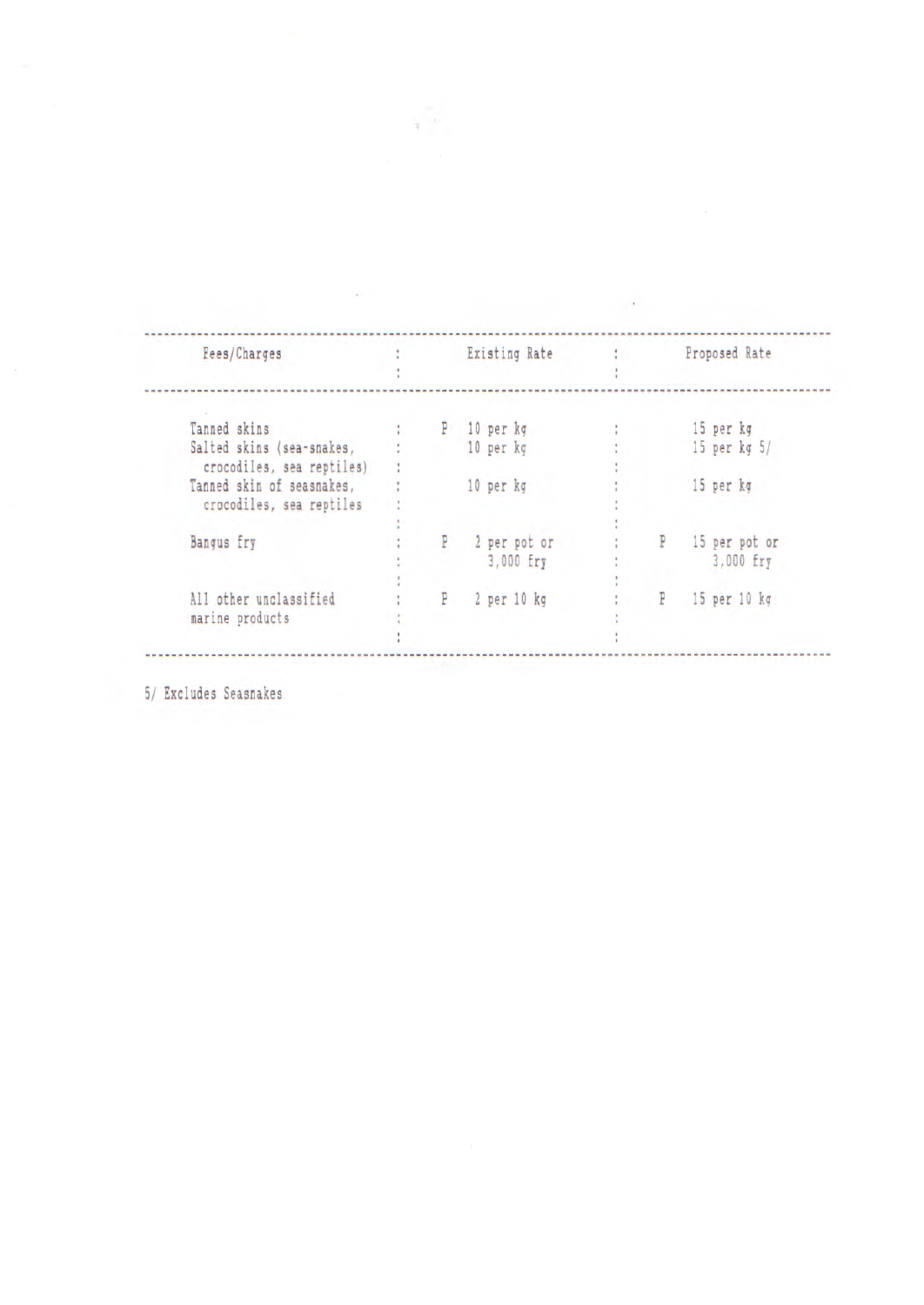| Fees/Charges                                           |    | Existing Rate             |    | Proposed Rate              |
|--------------------------------------------------------|----|---------------------------|----|----------------------------|
| Tanned skins                                           | P. | 10 per kg                 |    | 15 per kg                  |
| Salted skins (sea-snakes,<br>crocodiles, sea reptiles) |    | 10 per kg                 |    | $15$ per $kg5/$            |
| Tanned skin of seasnakes,<br>crocodiles, sea reptiles  |    | 10 per kg                 |    | 15 per kg                  |
| <b>Bangus</b> fry                                      |    | 2 per pot or<br>3,000 fry | P. | 15 per pot or<br>3,000 fry |
| All other unclassified<br>marine products              | P  | 2 per 10 kg               | P  | 15 per 10 kg               |

 $\sim 10^{-1}$ 

 $\sqrt{\gamma}$ 

 $\mathcal{M}^{(1)}$ 

5/ Excludes Seasnakes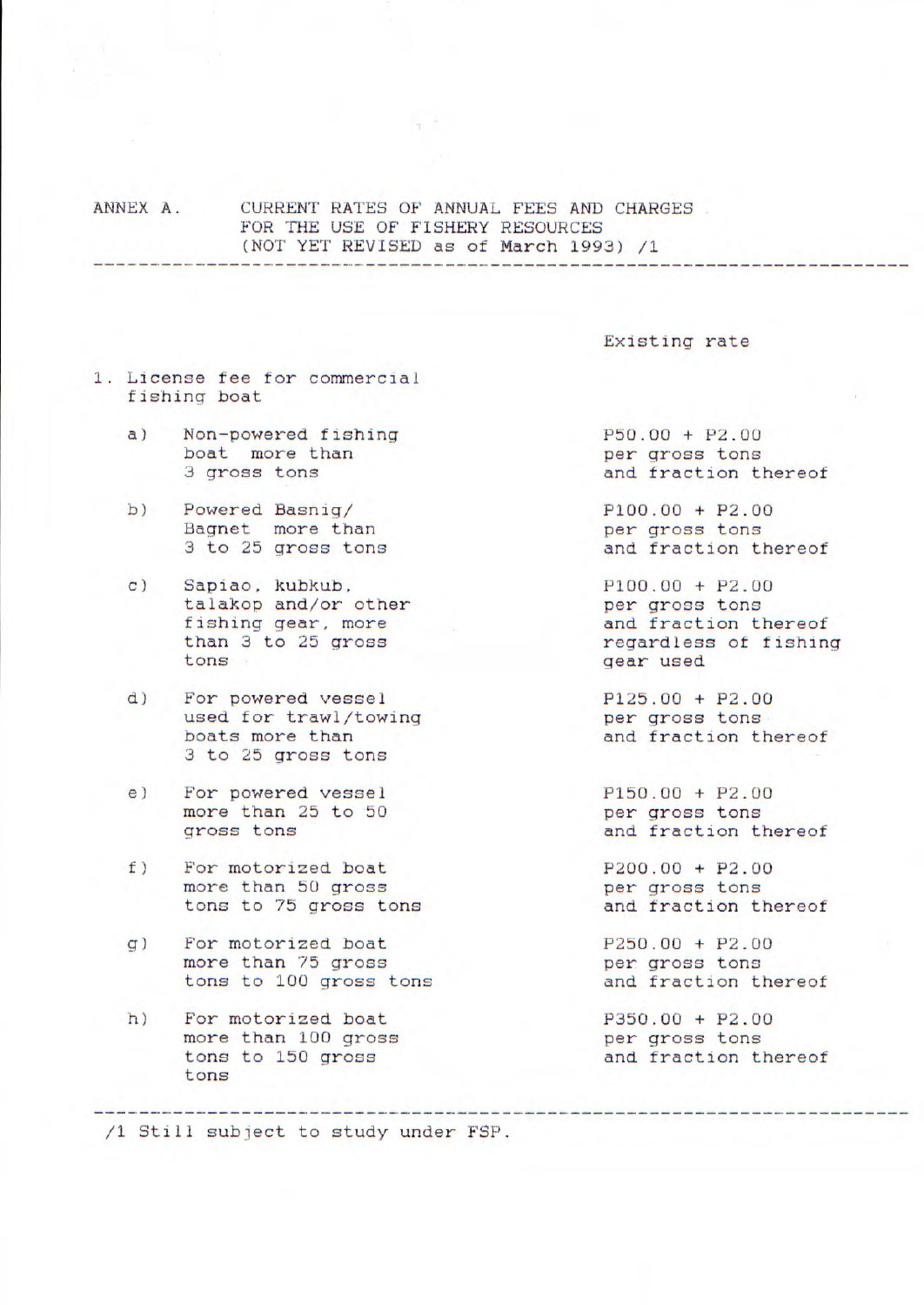ANNEX A. CURRENT RATES OF ANNUAL FEES AND CHARGES FOR THE USE OF FiSHERY RESOURCES (NOT YET REVISED as of March 1993) /1

 $\sim$   $\sim$ 

Existing rate

- 1. License fee for commercial fishing boat
	- a) Non-powered fishing P50.00 + P2.00 hoat more than example per qross tons boat more than the per gross tons<br>3 gross tons and fraction the period of the period of the period of the period of the period of the period of the period of the period of the period of the period of the period of the peri
	- b) Powered Basnig/ P100.00 + P2.00<br>Bagnet more than ber gross tons Bagnet more than<br>3 to 25 gross tons
	- c) Sapiao, kubkub,<br>
	talakop and/or other<br>
	per gross tons talakop and/or other fishing gear, more<br>than 3 to 25 gross and fraction thereof<br>reqardless of fishing
	- d) For powered vessel P125.00 + P2.00 used for trawl/towing example per gross tons used for trawl/towing boats more than and fraction thereof 3 to 25 gross tons
	- e) For powered vessel P150.00 + P2.00 more than 25 to 50 extending per gross tons more than 25 to 50<br>gross tons
	- f) For motorized boat P200.00 + P2.00 more than 50 gross to per gross tons more than 50 gross tons to 75 gross tons and fraction thereof
	- g) For motorized boat P250.00 + P2.00<br>more than 75 gross ber gross tons more than 75 gross<br>
	tons to 100 gross tons<br>  $\begin{array}{ccc}\n & \text{if } x \neq 0 \\
	 & \text{if } x = 0\n\end{array}$ tons to 100 gross tons
	- h) For motorized boat P350.00 + P2.00 more than 100 gross cons more than 100 gross tons to 150 gross and fraction thereof tons

and fraction thereof

and fraction thereof

than 3 to 25 gross than 3 to 25 gross than the regardless of fishing<br>tons gear used

and fraction thereof

/1 Still subject to study under FSP.